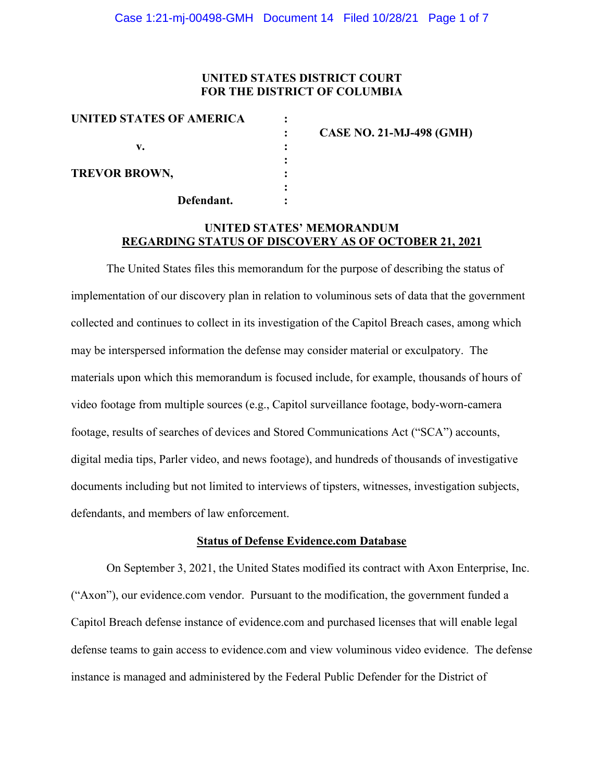### **UNITED STATES DISTRICT COURT FOR THE DISTRICT OF COLUMBIA**

| UNITED STATES OF AMERICA |                                 |
|--------------------------|---------------------------------|
|                          | <b>CASE NO. 21-MJ-498 (GMH)</b> |
| v.                       |                                 |
| <b>TREVOR BROWN,</b>     |                                 |
| Defendant.               |                                 |

## **UNITED STATES' MEMORANDUM REGARDING STATUS OF DISCOVERY AS OF OCTOBER 21, 2021**

The United States files this memorandum for the purpose of describing the status of implementation of our discovery plan in relation to voluminous sets of data that the government collected and continues to collect in its investigation of the Capitol Breach cases, among which may be interspersed information the defense may consider material or exculpatory. The materials upon which this memorandum is focused include, for example, thousands of hours of video footage from multiple sources (e.g., Capitol surveillance footage, body-worn-camera footage, results of searches of devices and Stored Communications Act ("SCA") accounts, digital media tips, Parler video, and news footage), and hundreds of thousands of investigative documents including but not limited to interviews of tipsters, witnesses, investigation subjects, defendants, and members of law enforcement.

#### **Status of Defense Evidence.com Database**

On September 3, 2021, the United States modified its contract with Axon Enterprise, Inc. ("Axon"), our evidence.com vendor. Pursuant to the modification, the government funded a Capitol Breach defense instance of evidence.com and purchased licenses that will enable legal defense teams to gain access to evidence.com and view voluminous video evidence. The defense instance is managed and administered by the Federal Public Defender for the District of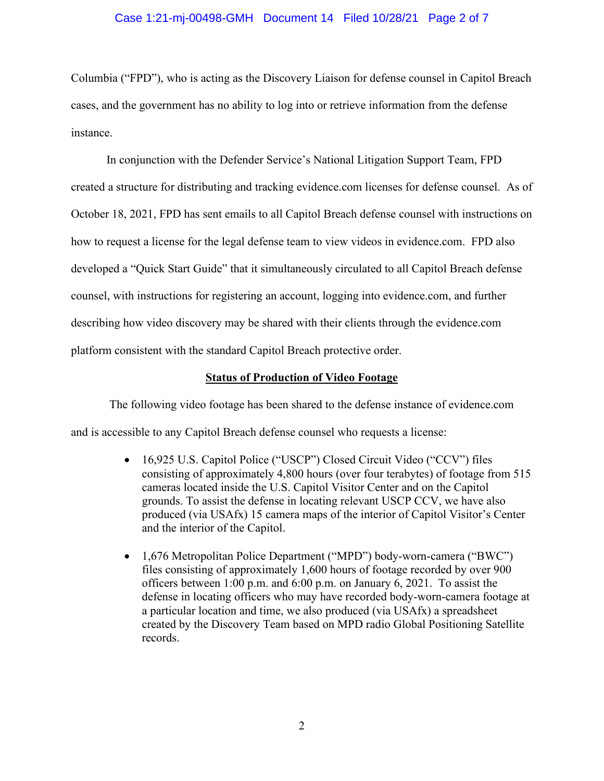### Case 1:21-mj-00498-GMH Document 14 Filed 10/28/21 Page 2 of 7

Columbia ("FPD"), who is acting as the Discovery Liaison for defense counsel in Capitol Breach cases, and the government has no ability to log into or retrieve information from the defense instance.

In conjunction with the Defender Service's National Litigation Support Team, FPD created a structure for distributing and tracking evidence.com licenses for defense counsel. As of October 18, 2021, FPD has sent emails to all Capitol Breach defense counsel with instructions on how to request a license for the legal defense team to view videos in evidence.com. FPD also developed a "Quick Start Guide" that it simultaneously circulated to all Capitol Breach defense counsel, with instructions for registering an account, logging into evidence.com, and further describing how video discovery may be shared with their clients through the evidence.com platform consistent with the standard Capitol Breach protective order.

### **Status of Production of Video Footage**

The following video footage has been shared to the defense instance of evidence.com and is accessible to any Capitol Breach defense counsel who requests a license:

- 16,925 U.S. Capitol Police ("USCP") Closed Circuit Video ("CCV") files consisting of approximately 4,800 hours (over four terabytes) of footage from 515 cameras located inside the U.S. Capitol Visitor Center and on the Capitol grounds. To assist the defense in locating relevant USCP CCV, we have also produced (via USAfx) 15 camera maps of the interior of Capitol Visitor's Center and the interior of the Capitol.
- 1,676 Metropolitan Police Department ("MPD") body-worn-camera ("BWC") files consisting of approximately 1,600 hours of footage recorded by over 900 officers between 1:00 p.m. and 6:00 p.m. on January 6, 2021. To assist the defense in locating officers who may have recorded body-worn-camera footage at a particular location and time, we also produced (via USAfx) a spreadsheet created by the Discovery Team based on MPD radio Global Positioning Satellite records.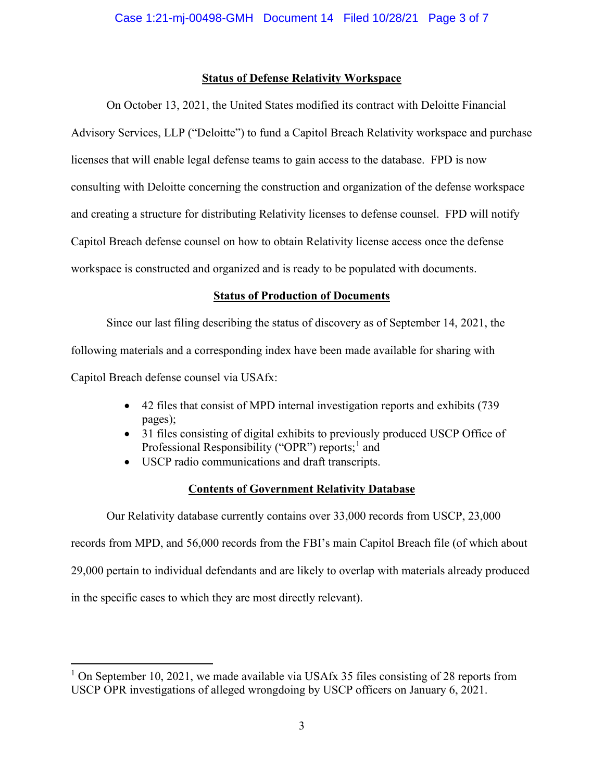## **Status of Defense Relativity Workspace**

On October 13, 2021, the United States modified its contract with Deloitte Financial Advisory Services, LLP ("Deloitte") to fund a Capitol Breach Relativity workspace and purchase licenses that will enable legal defense teams to gain access to the database. FPD is now consulting with Deloitte concerning the construction and organization of the defense workspace and creating a structure for distributing Relativity licenses to defense counsel. FPD will notify Capitol Breach defense counsel on how to obtain Relativity license access once the defense workspace is constructed and organized and is ready to be populated with documents.

# **Status of Production of Documents**

Since our last filing describing the status of discovery as of September 14, 2021, the following materials and a corresponding index have been made available for sharing with Capitol Breach defense counsel via USAfx:

- 42 files that consist of MPD internal investigation reports and exhibits (739 pages);
- 31 files consisting of digital exhibits to previously produced USCP Office of Professional Responsibility ("OPR") reports;<sup>1</sup> and
- USCP radio communications and draft transcripts.

# **Contents of Government Relativity Database**

Our Relativity database currently contains over 33,000 records from USCP, 23,000 records from MPD, and 56,000 records from the FBI's main Capitol Breach file (of which about 29,000 pertain to individual defendants and are likely to overlap with materials already produced in the specific cases to which they are most directly relevant).

<sup>&</sup>lt;sup>1</sup> On September 10, 2021, we made available via USAfx 35 files consisting of 28 reports from USCP OPR investigations of alleged wrongdoing by USCP officers on January 6, 2021.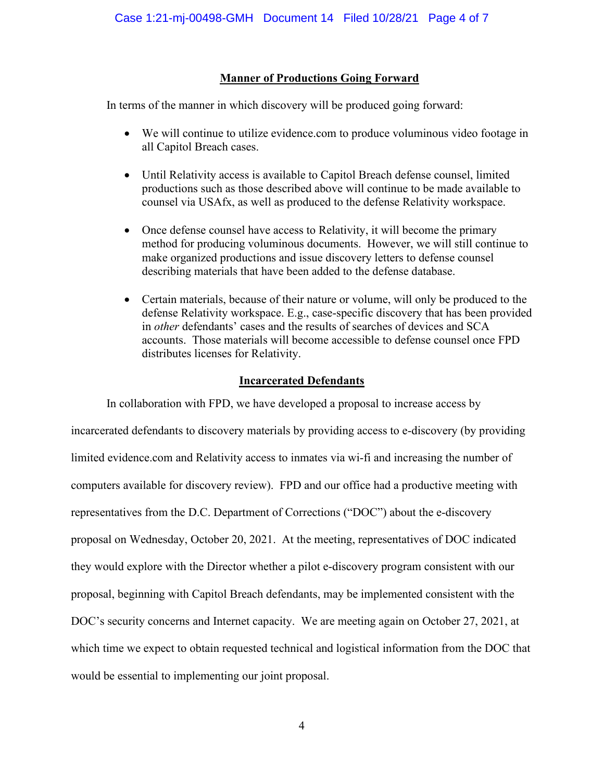## **Manner of Productions Going Forward**

In terms of the manner in which discovery will be produced going forward:

- We will continue to utilize evidence.com to produce voluminous video footage in all Capitol Breach cases.
- Until Relativity access is available to Capitol Breach defense counsel, limited productions such as those described above will continue to be made available to counsel via USAfx, as well as produced to the defense Relativity workspace.
- Once defense counsel have access to Relativity, it will become the primary method for producing voluminous documents. However, we will still continue to make organized productions and issue discovery letters to defense counsel describing materials that have been added to the defense database.
- Certain materials, because of their nature or volume, will only be produced to the defense Relativity workspace. E.g., case-specific discovery that has been provided in *other* defendants' cases and the results of searches of devices and SCA accounts. Those materials will become accessible to defense counsel once FPD distributes licenses for Relativity.

## **Incarcerated Defendants**

In collaboration with FPD, we have developed a proposal to increase access by incarcerated defendants to discovery materials by providing access to e-discovery (by providing limited evidence.com and Relativity access to inmates via wi-fi and increasing the number of computers available for discovery review). FPD and our office had a productive meeting with representatives from the D.C. Department of Corrections ("DOC") about the e-discovery proposal on Wednesday, October 20, 2021. At the meeting, representatives of DOC indicated they would explore with the Director whether a pilot e-discovery program consistent with our proposal, beginning with Capitol Breach defendants, may be implemented consistent with the DOC's security concerns and Internet capacity. We are meeting again on October 27, 2021, at which time we expect to obtain requested technical and logistical information from the DOC that would be essential to implementing our joint proposal.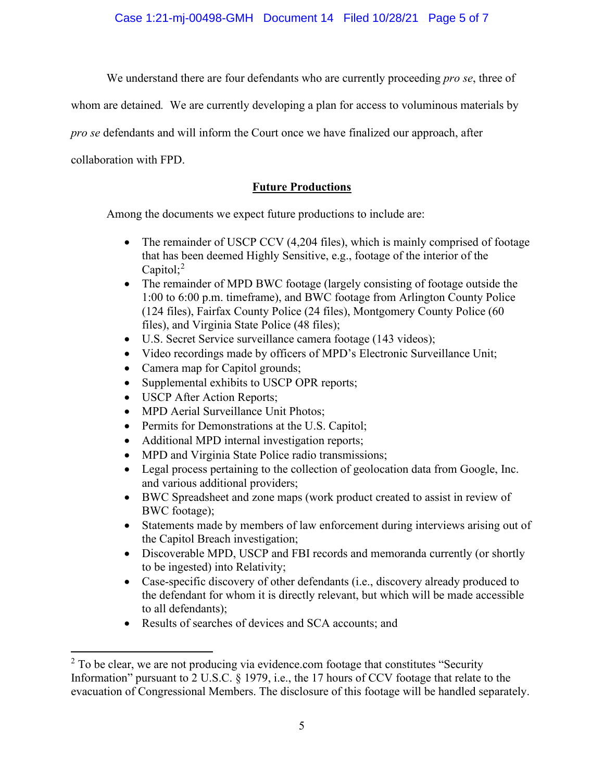Case 1:21-mj-00498-GMH Document 14 Filed 10/28/21 Page 5 of 7

We understand there are four defendants who are currently proceeding *pro se*, three of

whom are detained*.* We are currently developing a plan for access to voluminous materials by

*pro se* defendants and will inform the Court once we have finalized our approach, after

collaboration with FPD.

## **Future Productions**

Among the documents we expect future productions to include are:

- The remainder of USCP CCV (4,204 files), which is mainly comprised of footage that has been deemed Highly Sensitive, e.g., footage of the interior of the Capitol;<sup>2</sup>
- The remainder of MPD BWC footage (largely consisting of footage outside the 1:00 to 6:00 p.m. timeframe), and BWC footage from Arlington County Police (124 files), Fairfax County Police (24 files), Montgomery County Police (60 files), and Virginia State Police (48 files);
- U.S. Secret Service surveillance camera footage (143 videos);
- Video recordings made by officers of MPD's Electronic Surveillance Unit;
- Camera map for Capitol grounds;
- Supplemental exhibits to USCP OPR reports;
- USCP After Action Reports;
- MPD Aerial Surveillance Unit Photos;
- Permits for Demonstrations at the U.S. Capitol;
- Additional MPD internal investigation reports;
- MPD and Virginia State Police radio transmissions;
- Legal process pertaining to the collection of geolocation data from Google, Inc. and various additional providers;
- BWC Spreadsheet and zone maps (work product created to assist in review of BWC footage);
- Statements made by members of law enforcement during interviews arising out of the Capitol Breach investigation;
- Discoverable MPD, USCP and FBI records and memoranda currently (or shortly to be ingested) into Relativity;
- Case-specific discovery of other defendants (i.e., discovery already produced to the defendant for whom it is directly relevant, but which will be made accessible to all defendants);
- Results of searches of devices and SCA accounts; and

 $2$  To be clear, we are not producing via evidence.com footage that constitutes "Security Information" pursuant to 2 U.S.C. § 1979, i.e., the 17 hours of CCV footage that relate to the evacuation of Congressional Members. The disclosure of this footage will be handled separately.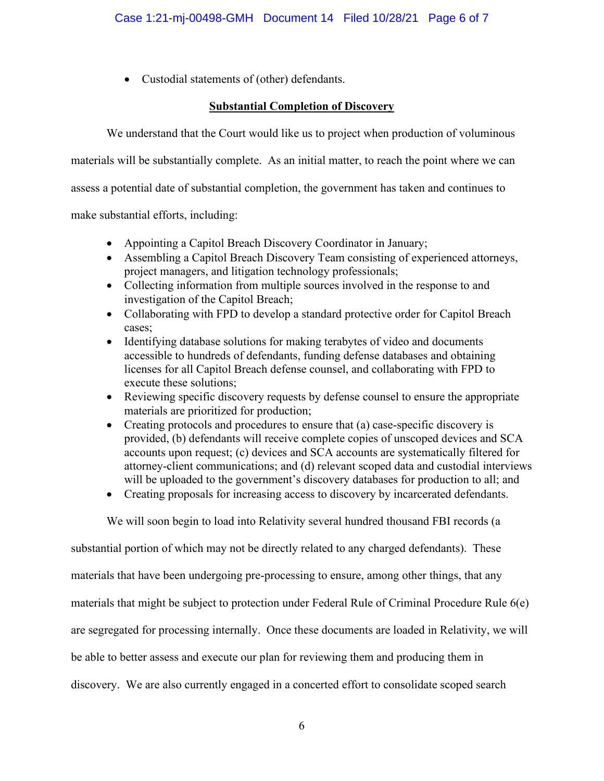• Custodial statements of (other) defendants.

## **Substantial Completion of Discovery**

We understand that the Court would like us to project when production of voluminous

materials will be substantially complete. As an initial matter, to reach the point where we can

assess a potential date of substantial completion, the government has taken and continues to

make substantial efforts, including:

- Appointing a Capitol Breach Discovery Coordinator in January;
- Assembling a Capitol Breach Discovery Team consisting of experienced attorneys, project managers, and litigation technology professionals;
- Collecting information from multiple sources involved in the response to and investigation of the Capitol Breach;
- Collaborating with FPD to develop a standard protective order for Capitol Breach cases;
- Identifying database solutions for making terabytes of video and documents accessible to hundreds of defendants, funding defense databases and obtaining licenses for all Capitol Breach defense counsel, and collaborating with FPD to execute these solutions;
- Reviewing specific discovery requests by defense counsel to ensure the appropriate materials are prioritized for production;
- Creating protocols and procedures to ensure that (a) case-specific discovery is provided, (b) defendants will receive complete copies of unscoped devices and SCA accounts upon request; (c) devices and SCA accounts are systematically filtered for attorney-client communications; and (d) relevant scoped data and custodial interviews will be uploaded to the government's discovery databases for production to all; and
- Creating proposals for increasing access to discovery by incarcerated defendants.

We will soon begin to load into Relativity several hundred thousand FBI records (a

substantial portion of which may not be directly related to any charged defendants). These materials that have been undergoing pre-processing to ensure, among other things, that any materials that might be subject to protection under Federal Rule of Criminal Procedure Rule 6(e) are segregated for processing internally. Once these documents are loaded in Relativity, we will be able to better assess and execute our plan for reviewing them and producing them in discovery. We are also currently engaged in a concerted effort to consolidate scoped search